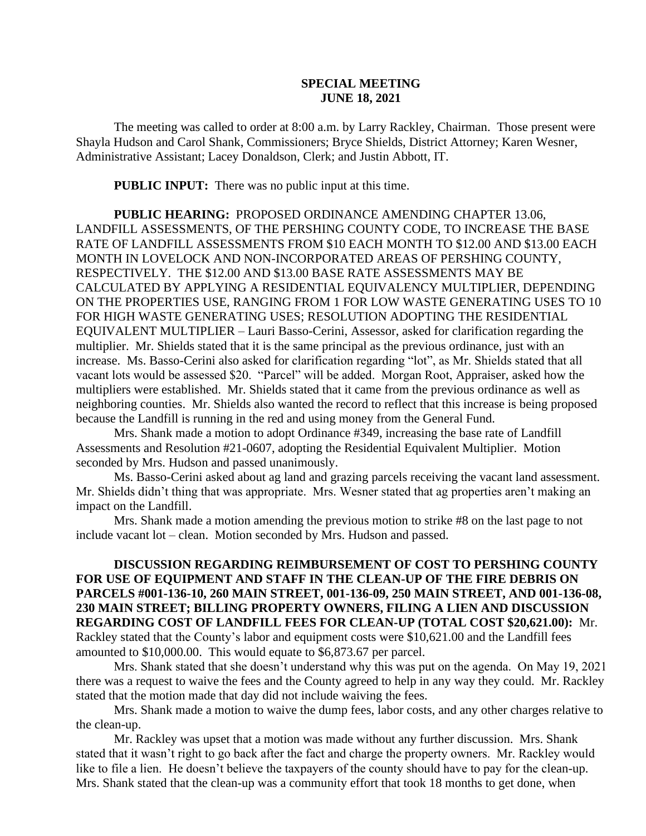## **SPECIAL MEETING JUNE 18, 2021**

The meeting was called to order at 8:00 a.m. by Larry Rackley, Chairman. Those present were Shayla Hudson and Carol Shank, Commissioners; Bryce Shields, District Attorney; Karen Wesner, Administrative Assistant; Lacey Donaldson, Clerk; and Justin Abbott, IT.

**PUBLIC INPUT:** There was no public input at this time.

**PUBLIC HEARING:** PROPOSED ORDINANCE AMENDING CHAPTER 13.06, LANDFILL ASSESSMENTS, OF THE PERSHING COUNTY CODE, TO INCREASE THE BASE RATE OF LANDFILL ASSESSMENTS FROM \$10 EACH MONTH TO \$12.00 AND \$13.00 EACH MONTH IN LOVELOCK AND NON-INCORPORATED AREAS OF PERSHING COUNTY, RESPECTIVELY. THE \$12.00 AND \$13.00 BASE RATE ASSESSMENTS MAY BE CALCULATED BY APPLYING A RESIDENTIAL EQUIVALENCY MULTIPLIER, DEPENDING ON THE PROPERTIES USE, RANGING FROM 1 FOR LOW WASTE GENERATING USES TO 10 FOR HIGH WASTE GENERATING USES; RESOLUTION ADOPTING THE RESIDENTIAL EQUIVALENT MULTIPLIER – Lauri Basso-Cerini, Assessor, asked for clarification regarding the multiplier. Mr. Shields stated that it is the same principal as the previous ordinance, just with an increase. Ms. Basso-Cerini also asked for clarification regarding "lot", as Mr. Shields stated that all vacant lots would be assessed \$20. "Parcel" will be added. Morgan Root, Appraiser, asked how the multipliers were established. Mr. Shields stated that it came from the previous ordinance as well as neighboring counties. Mr. Shields also wanted the record to reflect that this increase is being proposed because the Landfill is running in the red and using money from the General Fund.

Mrs. Shank made a motion to adopt Ordinance #349, increasing the base rate of Landfill Assessments and Resolution #21-0607, adopting the Residential Equivalent Multiplier. Motion seconded by Mrs. Hudson and passed unanimously.

Ms. Basso-Cerini asked about ag land and grazing parcels receiving the vacant land assessment. Mr. Shields didn't thing that was appropriate. Mrs. Wesner stated that ag properties aren't making an impact on the Landfill.

Mrs. Shank made a motion amending the previous motion to strike #8 on the last page to not include vacant lot – clean. Motion seconded by Mrs. Hudson and passed.

**DISCUSSION REGARDING REIMBURSEMENT OF COST TO PERSHING COUNTY FOR USE OF EQUIPMENT AND STAFF IN THE CLEAN-UP OF THE FIRE DEBRIS ON PARCELS #001-136-10, 260 MAIN STREET, 001-136-09, 250 MAIN STREET, AND 001-136-08, 230 MAIN STREET; BILLING PROPERTY OWNERS, FILING A LIEN AND DISCUSSION REGARDING COST OF LANDFILL FEES FOR CLEAN-UP (TOTAL COST \$20,621.00):** Mr. Rackley stated that the County's labor and equipment costs were \$10,621.00 and the Landfill fees amounted to \$10,000.00. This would equate to \$6,873.67 per parcel.

Mrs. Shank stated that she doesn't understand why this was put on the agenda. On May 19, 2021 there was a request to waive the fees and the County agreed to help in any way they could. Mr. Rackley stated that the motion made that day did not include waiving the fees.

Mrs. Shank made a motion to waive the dump fees, labor costs, and any other charges relative to the clean-up.

Mr. Rackley was upset that a motion was made without any further discussion. Mrs. Shank stated that it wasn't right to go back after the fact and charge the property owners. Mr. Rackley would like to file a lien. He doesn't believe the taxpayers of the county should have to pay for the clean-up. Mrs. Shank stated that the clean-up was a community effort that took 18 months to get done, when